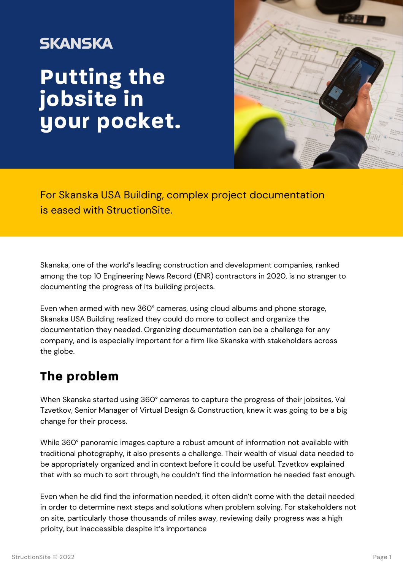## **SKANSKA Putting the jobsite in your pocket.**



For Skanska USA Building, complex project documentation is eased with StructionSite.

Skanska, one of the world's leading construction and development companies, ranked among the top 10 Engineering News Record (ENR) contractors in 2020, is no stranger to documenting the progress of its building projects.

Even when armed with new 360° cameras, using cloud albums and phone storage, Skanska USA Building realized they could do more to collect and organize the documentation they needed. Organizing documentation can be a challenge for any company, and is especially important for a firm like Skanska with stakeholders across the globe.

## **The problem**

When Skanska started using 360° cameras to capture the progress of their jobsites, Val Tzvetkov, Senior Manager of Virtual Design & Construction, knew it was going to be a big change for their process.

While 360° panoramic images capture a robust amount of information not available with traditional photography, it also presents a challenge. Their wealth of visual data needed to be appropriately organized and in context before it could be useful. Tzvetkov explained that with so much to sort through, he couldn't find the information he needed fast enough.

Even when he did find the information needed, it often didn't come with the detail needed in order to determine next steps and solutions when problem solving. For stakeholders not on site, particularly those thousands of miles away, reviewing daily progress was a high prioity, but inaccessible despite it's importance